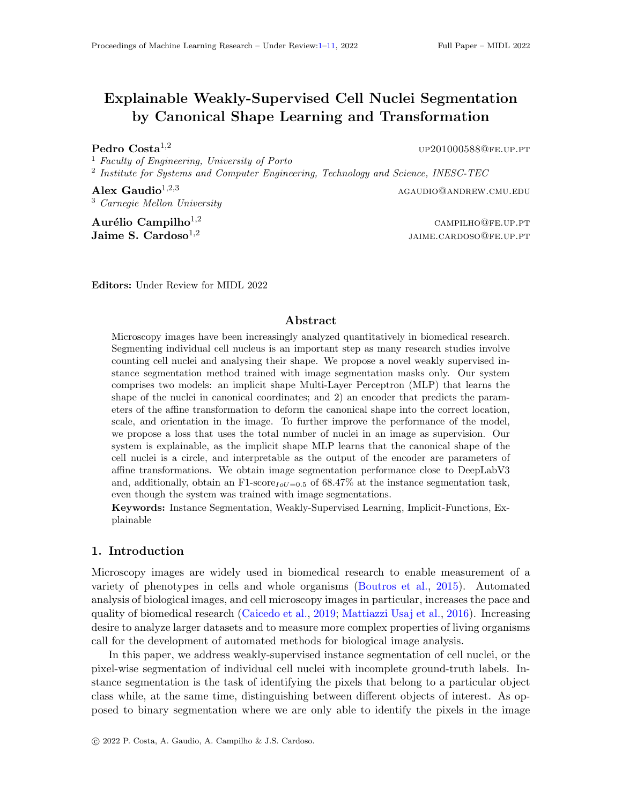# <span id="page-0-0"></span>Explainable Weakly-Supervised Cell Nuclei Segmentation by Canonical Shape Learning and Transformation

<sup>1</sup> Faculty of Engineering, University of Porto

<sup>2</sup> Institute for Systems and Computer Engineering, Technology and Science, INESC-TEC

<sup>3</sup> Carnegie Mellon University

 $\mathbf{A}$ urélio Campilho<sup>1,2</sup> campilho<sup>1,2</sup> Jaime S. Cardoso $^{1,2}$ 

**Pedro Costa**<sup>1,2</sup> up201000588@fe.up.pt

Alex Gaudio<sup>1,2,3</sup> agaudio against a series and a series and a series and agaudio and again and a series and again and a series and a series and again and a series and a series and a series and a series and a series and a

jaime.cardoso@fe.up.pt

Editors: Under Review for MIDL 2022

# Abstract

Microscopy images have been increasingly analyzed quantitatively in biomedical research. Segmenting individual cell nucleus is an important step as many research studies involve counting cell nuclei and analysing their shape. We propose a novel weakly supervised instance segmentation method trained with image segmentation masks only. Our system comprises two models: an implicit shape Multi-Layer Perceptron (MLP) that learns the shape of the nuclei in canonical coordinates; and 2) an encoder that predicts the parameters of the affine transformation to deform the canonical shape into the correct location, scale, and orientation in the image. To further improve the performance of the model, we propose a loss that uses the total number of nuclei in an image as supervision. Our system is explainable, as the implicit shape MLP learns that the canonical shape of the cell nuclei is a circle, and interpretable as the output of the encoder are parameters of affine transformations. We obtain image segmentation performance close to DeepLabV3 and, additionally, obtain an F1-score<sub>IoU=0.5</sub> of 68.47% at the instance segmentation task, even though the system was trained with image segmentations.

Keywords: Instance Segmentation, Weakly-Supervised Learning, Implicit-Functions, Explainable

## 1. Introduction

Microscopy images are widely used in biomedical research to enable measurement of a variety of phenotypes in cells and whole organisms [\(Boutros et al.,](#page-8-0) [2015\)](#page-8-0). Automated analysis of biological images, and cell microscopy images in particular, increases the pace and quality of biomedical research [\(Caicedo et al.,](#page-8-1) [2019;](#page-8-1) [Mattiazzi Usaj et al.,](#page-8-2) [2016\)](#page-8-2). Increasing desire to analyze larger datasets and to measure more complex properties of living organisms call for the development of automated methods for biological image analysis.

In this paper, we address weakly-supervised instance segmentation of cell nuclei, or the pixel-wise segmentation of individual cell nuclei with incomplete ground-truth labels. Instance segmentation is the task of identifying the pixels that belong to a particular object class while, at the same time, distinguishing between different objects of interest. As opposed to binary segmentation where we are only able to identify the pixels in the image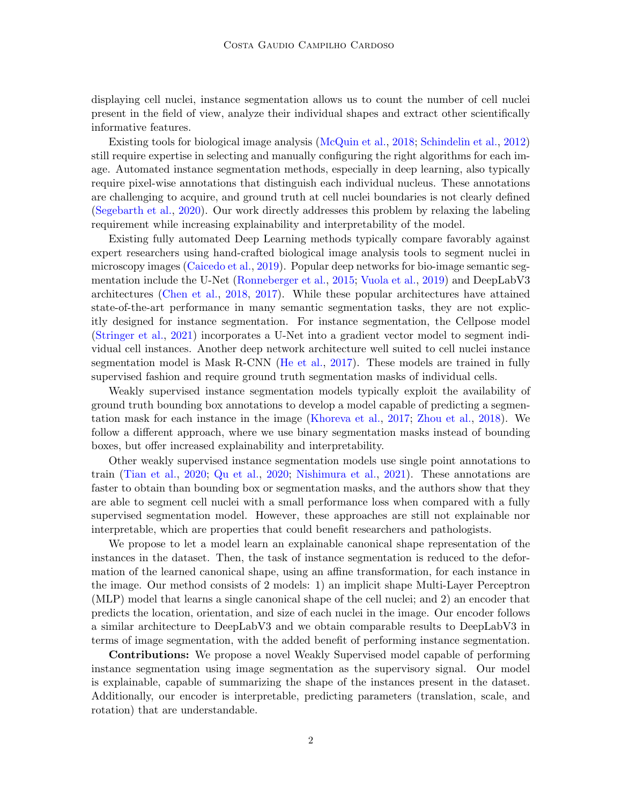displaying cell nuclei, instance segmentation allows us to count the number of cell nuclei present in the field of view, analyze their individual shapes and extract other scientifically informative features.

Existing tools for biological image analysis [\(McQuin et al.,](#page-9-0) [2018;](#page-9-0) [Schindelin et al.,](#page-9-1) [2012\)](#page-9-1) still require expertise in selecting and manually configuring the right algorithms for each image. Automated instance segmentation methods, especially in deep learning, also typically require pixel-wise annotations that distinguish each individual nucleus. These annotations are challenging to acquire, and ground truth at cell nuclei boundaries is not clearly defined [\(Segebarth et al.,](#page-9-2) [2020\)](#page-9-2). Our work directly addresses this problem by relaxing the labeling requirement while increasing explainability and interpretability of the model.

Existing fully automated Deep Learning methods typically compare favorably against expert researchers using hand-crafted biological image analysis tools to segment nuclei in microscopy images [\(Caicedo et al.,](#page-8-1) [2019\)](#page-8-1). Popular deep networks for bio-image semantic segmentation include the U-Net [\(Ronneberger et al.,](#page-9-3) [2015;](#page-9-3) [Vuola et al.,](#page-10-1) [2019\)](#page-10-1) and DeepLabV3 architectures [\(Chen et al.,](#page-8-3) [2018,](#page-8-3) [2017\)](#page-8-4). While these popular architectures have attained state-of-the-art performance in many semantic segmentation tasks, they are not explicitly designed for instance segmentation. For instance segmentation, the Cellpose model [\(Stringer et al.,](#page-9-4) [2021\)](#page-9-4) incorporates a U-Net into a gradient vector model to segment individual cell instances. Another deep network architecture well suited to cell nuclei instance segmentation model is Mask R-CNN [\(He et al.,](#page-8-5) [2017\)](#page-8-5). These models are trained in fully supervised fashion and require ground truth segmentation masks of individual cells.

Weakly supervised instance segmentation models typically exploit the availability of ground truth bounding box annotations to develop a model capable of predicting a segmentation mask for each instance in the image [\(Khoreva et al.,](#page-8-6) [2017;](#page-8-6) [Zhou et al.,](#page-10-2) [2018\)](#page-10-2). We follow a different approach, where we use binary segmentation masks instead of bounding boxes, but offer increased explainability and interpretability.

Other weakly supervised instance segmentation models use single point annotations to train [\(Tian et al.,](#page-10-3) [2020;](#page-10-3) [Qu et al.,](#page-9-5) [2020;](#page-9-5) [Nishimura et al.,](#page-9-6) [2021\)](#page-9-6). These annotations are faster to obtain than bounding box or segmentation masks, and the authors show that they are able to segment cell nuclei with a small performance loss when compared with a fully supervised segmentation model. However, these approaches are still not explainable nor interpretable, which are properties that could benefit researchers and pathologists.

We propose to let a model learn an explainable canonical shape representation of the instances in the dataset. Then, the task of instance segmentation is reduced to the deformation of the learned canonical shape, using an affine transformation, for each instance in the image. Our method consists of 2 models: 1) an implicit shape Multi-Layer Perceptron (MLP) model that learns a single canonical shape of the cell nuclei; and 2) an encoder that predicts the location, orientation, and size of each nuclei in the image. Our encoder follows a similar architecture to DeepLabV3 and we obtain comparable results to DeepLabV3 in terms of image segmentation, with the added benefit of performing instance segmentation.

Contributions: We propose a novel Weakly Supervised model capable of performing instance segmentation using image segmentation as the supervisory signal. Our model is explainable, capable of summarizing the shape of the instances present in the dataset. Additionally, our encoder is interpretable, predicting parameters (translation, scale, and rotation) that are understandable.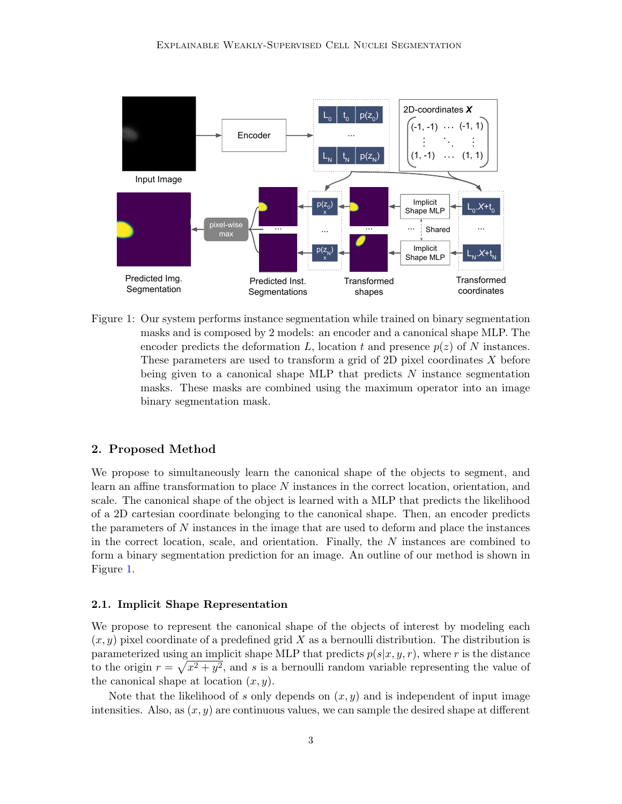

<span id="page-2-0"></span>Figure 1: Our system performs instance segmentation while trained on binary segmentation masks and is composed by 2 models: an encoder and a canonical shape MLP. The encoder predicts the deformation L, location t and presence  $p(z)$  of N instances. These parameters are used to transform a grid of 2D pixel coordinates X before being given to a canonical shape MLP that predicts  $N$  instance segmentation masks. These masks are combined using the maximum operator into an image binary segmentation mask.

## 2. Proposed Method

We propose to simultaneously learn the canonical shape of the objects to segment, and learn an affine transformation to place  $N$  instances in the correct location, orientation, and scale. The canonical shape of the object is learned with a MLP that predicts the likelihood of a 2D cartesian coordinate belonging to the canonical shape. Then, an encoder predicts the parameters of N instances in the image that are used to deform and place the instances in the correct location, scale, and orientation. Finally, the  $N$  instances are combined to form a binary segmentation prediction for an image. An outline of our method is shown in Figure [1.](#page-2-0)

#### 2.1. Implicit Shape Representation

We propose to represent the canonical shape of the objects of interest by modeling each  $(x, y)$  pixel coordinate of a predefined grid X as a bernoulli distribution. The distribution is parameterized using an implicit shape MLP that predicts  $p(s|x, y, r)$ , where r is the distance to the origin  $r = \sqrt{x^2 + y^2}$ , and s is a bernoulli random variable representing the value of the canonical shape at location  $(x, y)$ .

Note that the likelihood of s only depends on  $(x, y)$  and is independent of input image intensities. Also, as  $(x, y)$  are continuous values, we can sample the desired shape at different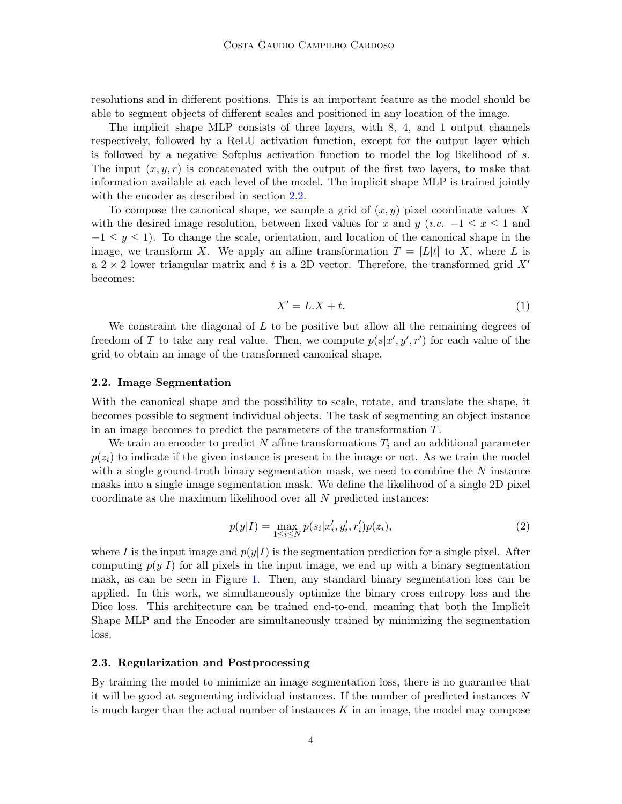resolutions and in different positions. This is an important feature as the model should be able to segment objects of different scales and positioned in any location of the image.

The implicit shape MLP consists of three layers, with 8, 4, and 1 output channels respectively, followed by a ReLU activation function, except for the output layer which is followed by a negative Softplus activation function to model the log likelihood of s. The input  $(x, y, r)$  is concatenated with the output of the first two layers, to make that information available at each level of the model. The implicit shape MLP is trained jointly with the encoder as described in section [2.2.](#page-3-0)

To compose the canonical shape, we sample a grid of  $(x, y)$  pixel coordinate values X with the desired image resolution, between fixed values for x and y (i.e.  $-1 \leq x \leq 1$  and  $-1 \leq y \leq 1$ . To change the scale, orientation, and location of the canonical shape in the image, we transform X. We apply an affine transformation  $T = [L|t]$  to X, where L is a  $2 \times 2$  lower triangular matrix and t is a 2D vector. Therefore, the transformed grid X' becomes:

$$
X' = L.X + t.\tag{1}
$$

We constraint the diagonal of  $L$  to be positive but allow all the remaining degrees of freedom of T to take any real value. Then, we compute  $p(s|x', y', r')$  for each value of the grid to obtain an image of the transformed canonical shape.

### <span id="page-3-0"></span>2.2. Image Segmentation

With the canonical shape and the possibility to scale, rotate, and translate the shape, it becomes possible to segment individual objects. The task of segmenting an object instance in an image becomes to predict the parameters of the transformation T.

We train an encoder to predict N affine transformations  $T_i$  and an additional parameter  $p(z<sub>i</sub>)$  to indicate if the given instance is present in the image or not. As we train the model with a single ground-truth binary segmentation mask, we need to combine the  $N$  instance masks into a single image segmentation mask. We define the likelihood of a single 2D pixel coordinate as the maximum likelihood over all N predicted instances:

<span id="page-3-1"></span>
$$
p(y|I) = \max_{1 \le i \le N} p(s_i|x'_i, y'_i, r'_i) p(z_i),
$$
\n(2)

where I is the input image and  $p(y|I)$  is the segmentation prediction for a single pixel. After computing  $p(y|I)$  for all pixels in the input image, we end up with a binary segmentation mask, as can be seen in Figure [1.](#page-2-0) Then, any standard binary segmentation loss can be applied. In this work, we simultaneously optimize the binary cross entropy loss and the Dice loss. This architecture can be trained end-to-end, meaning that both the Implicit Shape MLP and the Encoder are simultaneously trained by minimizing the segmentation loss.

### 2.3. Regularization and Postprocessing

By training the model to minimize an image segmentation loss, there is no guarantee that it will be good at segmenting individual instances. If the number of predicted instances N is much larger than the actual number of instances  $K$  in an image, the model may compose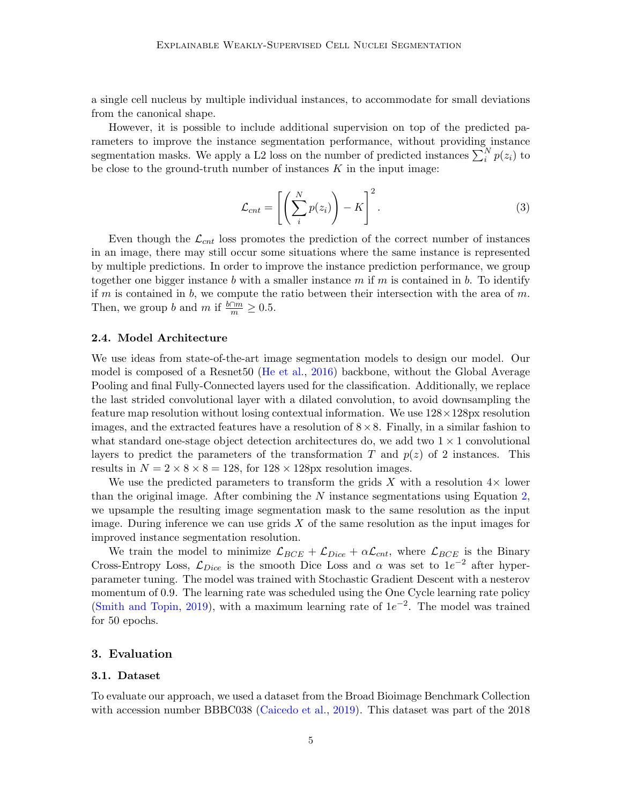a single cell nucleus by multiple individual instances, to accommodate for small deviations from the canonical shape.

However, it is possible to include additional supervision on top of the predicted parameters to improve the instance segmentation performance, without providing instance segmentation masks. We apply a L2 loss on the number of predicted instances  $\sum_{i}^{N} p(z_i)$  to be close to the ground-truth number of instances  $K$  in the input image:

$$
\mathcal{L}_{cnt} = \left[ \left( \sum_{i}^{N} p(z_i) \right) - K \right]^2.
$$
 (3)

Even though the  $\mathcal{L}_{cnt}$  loss promotes the prediction of the correct number of instances in an image, there may still occur some situations where the same instance is represented by multiple predictions. In order to improve the instance prediction performance, we group together one bigger instance b with a smaller instance m if m is contained in b. To identify if m is contained in b, we compute the ratio between their intersection with the area of m. Then, we group b and m if  $\frac{b \cap m}{m} \geq 0.5$ .

### 2.4. Model Architecture

We use ideas from state-of-the-art image segmentation models to design our model. Our model is composed of a Resnet50 [\(He et al.,](#page-8-7) [2016\)](#page-8-7) backbone, without the Global Average Pooling and final Fully-Connected layers used for the classification. Additionally, we replace the last strided convolutional layer with a dilated convolution, to avoid downsampling the feature map resolution without losing contextual information. We use  $128 \times 128$ px resolution images, and the extracted features have a resolution of  $8 \times 8$ . Finally, in a similar fashion to what standard one-stage object detection architectures do, we add two  $1 \times 1$  convolutional layers to predict the parameters of the transformation T and  $p(z)$  of 2 instances. This results in  $N = 2 \times 8 \times 8 = 128$ , for  $128 \times 128$ px resolution images.

We use the predicted parameters to transform the grids X with a resolution  $4\times$  lower than the original image. After combining the  $N$  instance segmentations using Equation [2,](#page-3-1) we upsample the resulting image segmentation mask to the same resolution as the input image. During inference we can use grids  $X$  of the same resolution as the input images for improved instance segmentation resolution.

We train the model to minimize  $\mathcal{L}_{BCE} + \mathcal{L}_{Dice} + \alpha \mathcal{L}_{cnt}$ , where  $\mathcal{L}_{BCE}$  is the Binary Cross-Entropy Loss,  $\mathcal{L}_{Dice}$  is the smooth Dice Loss and  $\alpha$  was set to  $1e^{-2}$  after hyperparameter tuning. The model was trained with Stochastic Gradient Descent with a nesterov momentum of 0.9. The learning rate was scheduled using the One Cycle learning rate policy [\(Smith and Topin,](#page-9-7) [2019\)](#page-9-7), with a maximum learning rate of  $1e^{-2}$ . The model was trained for 50 epochs.

## 3. Evaluation

## 3.1. Dataset

To evaluate our approach, we used a dataset from the Broad Bioimage Benchmark Collection with accession number BBBC038 [\(Caicedo et al.,](#page-8-1) [2019\)](#page-8-1). This dataset was part of the 2018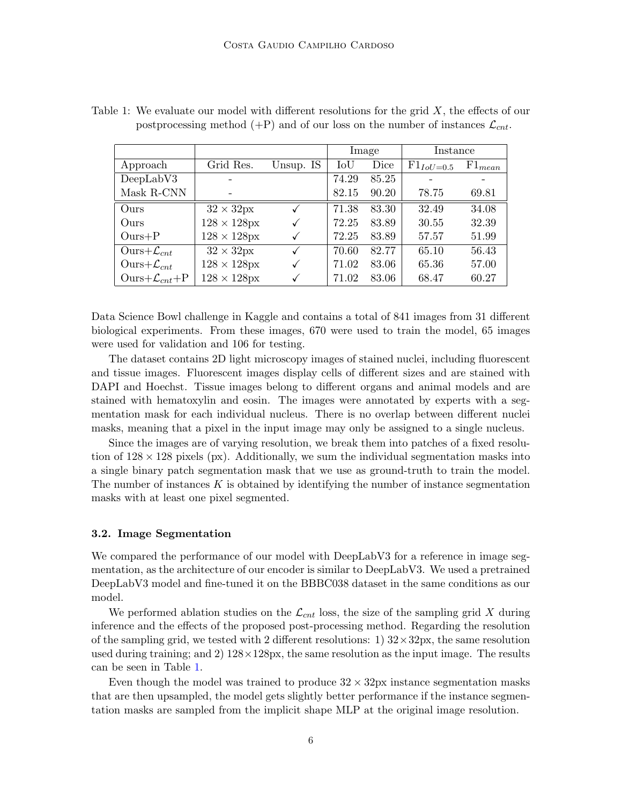|                              |                            |              | Image |       | Instance       |             |
|------------------------------|----------------------------|--------------|-------|-------|----------------|-------------|
| Approach                     | Grid Res.                  | Unsup. IS    | IoU   | Dice  | $F1_{IoU=0.5}$ | $F1_{mean}$ |
| DeepLabV3                    | -                          |              | 74.29 | 85.25 |                |             |
| Mask R-CNN                   |                            |              | 82.15 | 90.20 | 78.75          | 69.81       |
| Ours                         | $32 \times 32px$           | $\checkmark$ | 71.38 | 83.30 | 32.49          | 34.08       |
| Ours                         | $128 \times 128px$         | $\checkmark$ | 72.25 | 83.89 | 30.55          | 32.39       |
| $Ours + P$                   | $128 \times 128$ px        |              | 72.25 | 83.89 | 57.57          | 51.99       |
| Ours+ $\mathcal{L}_{cnt}$    | $32 \times 32px$           | $\checkmark$ | 70.60 | 82.77 | 65.10          | 56.43       |
| Ours+ $\mathcal{L}_{cnt}$    | $128 \times 128 \text{px}$ | $\checkmark$ | 71.02 | 83.06 | 65.36          | 57.00       |
| Ours+ $\mathcal{L}_{cnt}$ +P | $128 \times 128$ px        |              | 71.02 | 83.06 | 68.47          | 60.27       |

<span id="page-5-0"></span>Table 1: We evaluate our model with different resolutions for the grid  $X$ , the effects of our postprocessing method  $(+P)$  and of our loss on the number of instances  $\mathcal{L}_{cnt}$ .

Data Science Bowl challenge in Kaggle and contains a total of 841 images from 31 different biological experiments. From these images, 670 were used to train the model, 65 images were used for validation and 106 for testing.

The dataset contains 2D light microscopy images of stained nuclei, including fluorescent and tissue images. Fluorescent images display cells of different sizes and are stained with DAPI and Hoechst. Tissue images belong to different organs and animal models and are stained with hematoxylin and eosin. The images were annotated by experts with a segmentation mask for each individual nucleus. There is no overlap between different nuclei masks, meaning that a pixel in the input image may only be assigned to a single nucleus.

Since the images are of varying resolution, we break them into patches of a fixed resolution of  $128 \times 128$  pixels (px). Additionally, we sum the individual segmentation masks into a single binary patch segmentation mask that we use as ground-truth to train the model. The number of instances  $K$  is obtained by identifying the number of instance segmentation masks with at least one pixel segmented.

#### 3.2. Image Segmentation

We compared the performance of our model with DeepLabV3 for a reference in image segmentation, as the architecture of our encoder is similar to DeepLabV3. We used a pretrained DeepLabV3 model and fine-tuned it on the BBBC038 dataset in the same conditions as our model.

We performed ablation studies on the  $\mathcal{L}_{cnt}$  loss, the size of the sampling grid X during inference and the effects of the proposed post-processing method. Regarding the resolution of the sampling grid, we tested with 2 different resolutions:  $1)$   $32 \times 32px$ , the same resolution used during training; and 2)  $128 \times 128 \text{px}$ , the same resolution as the input image. The results can be seen in Table [1.](#page-5-0)

Even though the model was trained to produce  $32 \times 32$  px instance segmentation masks that are then upsampled, the model gets slightly better performance if the instance segmentation masks are sampled from the implicit shape MLP at the original image resolution.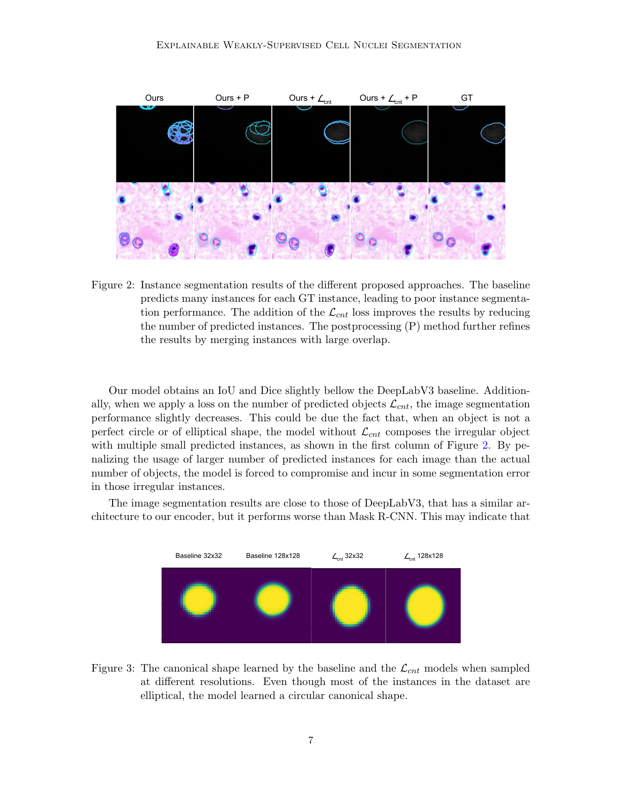

<span id="page-6-0"></span>Figure 2: Instance segmentation results of the different proposed approaches. The baseline predicts many instances for each GT instance, leading to poor instance segmentation performance. The addition of the  $\mathcal{L}_{cnt}$  loss improves the results by reducing the number of predicted instances. The postprocessing (P) method further refines the results by merging instances with large overlap.

Our model obtains an IoU and Dice slightly bellow the DeepLabV3 baseline. Additionally, when we apply a loss on the number of predicted objects  $\mathcal{L}_{cnt}$ , the image segmentation performance slightly decreases. This could be due the fact that, when an object is not a perfect circle or of elliptical shape, the model without  $\mathcal{L}_{cnt}$  composes the irregular object with multiple small predicted instances, as shown in the first column of Figure [2.](#page-6-0) By penalizing the usage of larger number of predicted instances for each image than the actual number of objects, the model is forced to compromise and incur in some segmentation error in those irregular instances.

The image segmentation results are close to those of DeepLabV3, that has a similar architecture to our encoder, but it performs worse than Mask R-CNN. This may indicate that



<span id="page-6-1"></span>Figure 3: The canonical shape learned by the baseline and the  $\mathcal{L}_{cnt}$  models when sampled at different resolutions. Even though most of the instances in the dataset are elliptical, the model learned a circular canonical shape.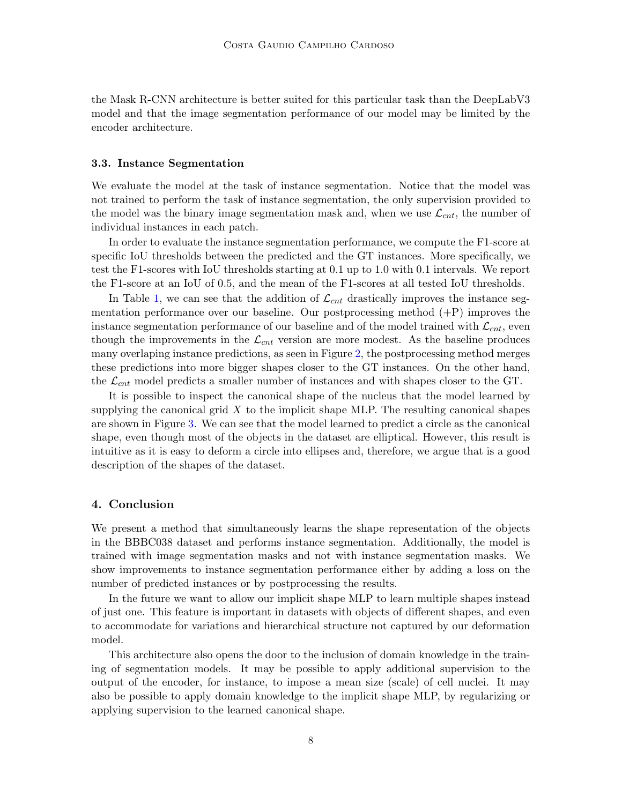the Mask R-CNN architecture is better suited for this particular task than the DeepLabV3 model and that the image segmentation performance of our model may be limited by the encoder architecture.

#### 3.3. Instance Segmentation

We evaluate the model at the task of instance segmentation. Notice that the model was not trained to perform the task of instance segmentation, the only supervision provided to the model was the binary image segmentation mask and, when we use  $\mathcal{L}_{cnt}$ , the number of individual instances in each patch.

In order to evaluate the instance segmentation performance, we compute the F1-score at specific IoU thresholds between the predicted and the GT instances. More specifically, we test the F1-scores with IoU thresholds starting at 0.1 up to 1.0 with 0.1 intervals. We report the F1-score at an IoU of 0.5, and the mean of the F1-scores at all tested IoU thresholds.

In Table [1,](#page-5-0) we can see that the addition of  $\mathcal{L}_{cnt}$  drastically improves the instance segmentation performance over our baseline. Our postprocessing method (+P) improves the instance segmentation performance of our baseline and of the model trained with  $\mathcal{L}_{cnt}$ , even though the improvements in the  $\mathcal{L}_{cnt}$  version are more modest. As the baseline produces many overlaping instance predictions, as seen in Figure [2,](#page-6-0) the postprocessing method merges these predictions into more bigger shapes closer to the GT instances. On the other hand, the  $\mathcal{L}_{cnt}$  model predicts a smaller number of instances and with shapes closer to the GT.

It is possible to inspect the canonical shape of the nucleus that the model learned by supplying the canonical grid  $X$  to the implicit shape MLP. The resulting canonical shapes are shown in Figure [3.](#page-6-1) We can see that the model learned to predict a circle as the canonical shape, even though most of the objects in the dataset are elliptical. However, this result is intuitive as it is easy to deform a circle into ellipses and, therefore, we argue that is a good description of the shapes of the dataset.

## 4. Conclusion

We present a method that simultaneously learns the shape representation of the objects in the BBBC038 dataset and performs instance segmentation. Additionally, the model is trained with image segmentation masks and not with instance segmentation masks. We show improvements to instance segmentation performance either by adding a loss on the number of predicted instances or by postprocessing the results.

In the future we want to allow our implicit shape MLP to learn multiple shapes instead of just one. This feature is important in datasets with objects of different shapes, and even to accommodate for variations and hierarchical structure not captured by our deformation model.

This architecture also opens the door to the inclusion of domain knowledge in the training of segmentation models. It may be possible to apply additional supervision to the output of the encoder, for instance, to impose a mean size (scale) of cell nuclei. It may also be possible to apply domain knowledge to the implicit shape MLP, by regularizing or applying supervision to the learned canonical shape.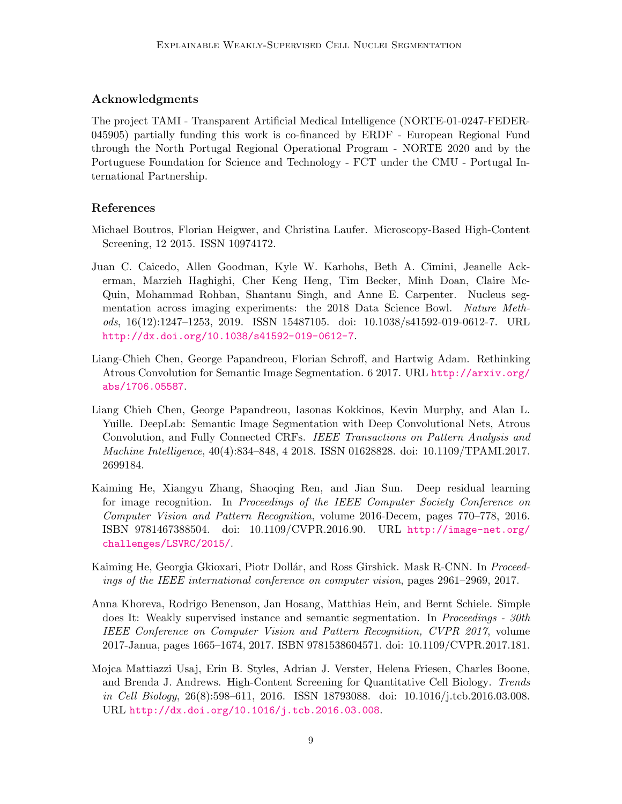## Acknowledgments

The project TAMI - Transparent Artificial Medical Intelligence (NORTE-01-0247-FEDER-045905) partially funding this work is co-financed by ERDF - European Regional Fund through the North Portugal Regional Operational Program - NORTE 2020 and by the Portuguese Foundation for Science and Technology - FCT under the CMU - Portugal International Partnership.

# References

- <span id="page-8-0"></span>Michael Boutros, Florian Heigwer, and Christina Laufer. Microscopy-Based High-Content Screening, 12 2015. ISSN 10974172.
- <span id="page-8-1"></span>Juan C. Caicedo, Allen Goodman, Kyle W. Karhohs, Beth A. Cimini, Jeanelle Ackerman, Marzieh Haghighi, Cher Keng Heng, Tim Becker, Minh Doan, Claire Mc-Quin, Mohammad Rohban, Shantanu Singh, and Anne E. Carpenter. Nucleus segmentation across imaging experiments: the 2018 Data Science Bowl. Nature Methods, 16(12):1247–1253, 2019. ISSN 15487105. doi: 10.1038/s41592-019-0612-7. URL <http://dx.doi.org/10.1038/s41592-019-0612-7>.
- <span id="page-8-4"></span>Liang-Chieh Chen, George Papandreou, Florian Schroff, and Hartwig Adam. Rethinking Atrous Convolution for Semantic Image Segmentation. 6 2017. URL [http://arxiv.org/](http://arxiv.org/abs/1706.05587) [abs/1706.05587](http://arxiv.org/abs/1706.05587).
- <span id="page-8-3"></span>Liang Chieh Chen, George Papandreou, Iasonas Kokkinos, Kevin Murphy, and Alan L. Yuille. DeepLab: Semantic Image Segmentation with Deep Convolutional Nets, Atrous Convolution, and Fully Connected CRFs. IEEE Transactions on Pattern Analysis and Machine Intelligence, 40(4):834–848, 4 2018. ISSN 01628828. doi: 10.1109/TPAMI.2017. 2699184.
- <span id="page-8-7"></span>Kaiming He, Xiangyu Zhang, Shaoqing Ren, and Jian Sun. Deep residual learning for image recognition. In Proceedings of the IEEE Computer Society Conference on Computer Vision and Pattern Recognition, volume 2016-Decem, pages 770–778, 2016. ISBN 9781467388504. doi: 10.1109/CVPR.2016.90. URL [http://image-net.org/](http://image-net.org/challenges/LSVRC/2015/) [challenges/LSVRC/2015/](http://image-net.org/challenges/LSVRC/2015/).
- <span id="page-8-5"></span>Kaiming He, Georgia Gkioxari, Piotr Dollár, and Ross Girshick. Mask R-CNN. In *Proceed*ings of the IEEE international conference on computer vision, pages 2961–2969, 2017.
- <span id="page-8-6"></span>Anna Khoreva, Rodrigo Benenson, Jan Hosang, Matthias Hein, and Bernt Schiele. Simple does It: Weakly supervised instance and semantic segmentation. In *Proceedings - 30th* IEEE Conference on Computer Vision and Pattern Recognition, CVPR 2017, volume 2017-Janua, pages 1665–1674, 2017. ISBN 9781538604571. doi: 10.1109/CVPR.2017.181.
- <span id="page-8-2"></span>Mojca Mattiazzi Usaj, Erin B. Styles, Adrian J. Verster, Helena Friesen, Charles Boone, and Brenda J. Andrews. High-Content Screening for Quantitative Cell Biology. Trends in Cell Biology, 26(8):598–611, 2016. ISSN 18793088. doi: 10.1016/j.tcb.2016.03.008. URL <http://dx.doi.org/10.1016/j.tcb.2016.03.008>.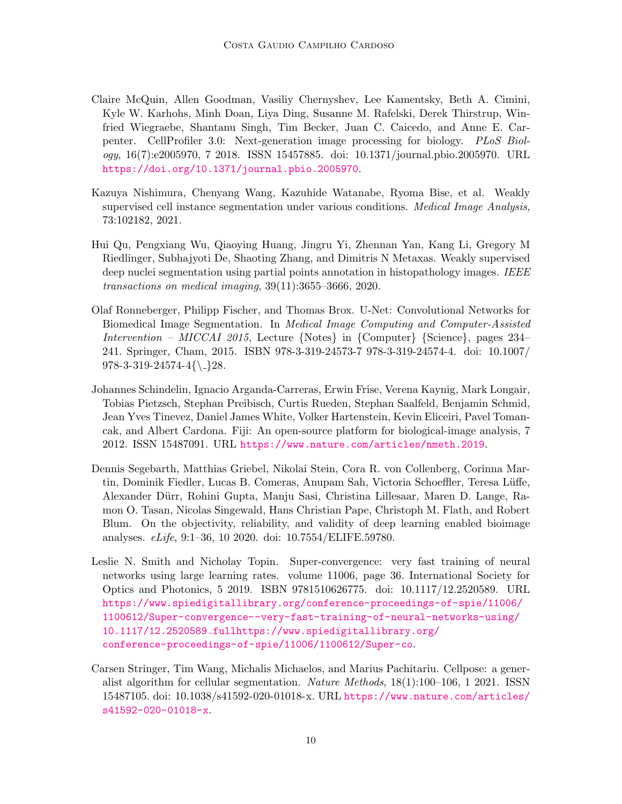- <span id="page-9-0"></span>Claire McQuin, Allen Goodman, Vasiliy Chernyshev, Lee Kamentsky, Beth A. Cimini, Kyle W. Karhohs, Minh Doan, Liya Ding, Susanne M. Rafelski, Derek Thirstrup, Winfried Wiegraebe, Shantanu Singh, Tim Becker, Juan C. Caicedo, and Anne E. Carpenter. CellProfiler 3.0: Next-generation image processing for biology. PLoS Biology, 16(7):e2005970, 7 2018. ISSN 15457885. doi: 10.1371/journal.pbio.2005970. URL <https://doi.org/10.1371/journal.pbio.2005970>.
- <span id="page-9-6"></span>Kazuya Nishimura, Chenyang Wang, Kazuhide Watanabe, Ryoma Bise, et al. Weakly supervised cell instance segmentation under various conditions. Medical Image Analysis, 73:102182, 2021.
- <span id="page-9-5"></span>Hui Qu, Pengxiang Wu, Qiaoying Huang, Jingru Yi, Zhennan Yan, Kang Li, Gregory M Riedlinger, Subhajyoti De, Shaoting Zhang, and Dimitris N Metaxas. Weakly supervised deep nuclei segmentation using partial points annotation in histopathology images. IEEE transactions on medical imaging, 39(11):3655–3666, 2020.
- <span id="page-9-3"></span>Olaf Ronneberger, Philipp Fischer, and Thomas Brox. U-Net: Convolutional Networks for Biomedical Image Segmentation. In Medical Image Computing and Computer-Assisted Intervention – MICCAI 2015, Lecture {Notes} in {Computer} {Science}, pages 234– 241. Springer, Cham, 2015. ISBN 978-3-319-24573-7 978-3-319-24574-4. doi: 10.1007/  $978-3-319-24574-4{\ \ \ }28.$
- <span id="page-9-1"></span>Johannes Schindelin, Ignacio Arganda-Carreras, Erwin Frise, Verena Kaynig, Mark Longair, Tobias Pietzsch, Stephan Preibisch, Curtis Rueden, Stephan Saalfeld, Benjamin Schmid, Jean Yves Tinevez, Daniel James White, Volker Hartenstein, Kevin Eliceiri, Pavel Tomancak, and Albert Cardona. Fiji: An open-source platform for biological-image analysis, 7 2012. ISSN 15487091. URL <https://www.nature.com/articles/nmeth.2019>.
- <span id="page-9-2"></span>Dennis Segebarth, Matthias Griebel, Nikolai Stein, Cora R. von Collenberg, Corinna Martin, Dominik Fiedler, Lucas B. Comeras, Anupam Sah, Victoria Schoeffler, Teresa Lüffe, Alexander D¨urr, Rohini Gupta, Manju Sasi, Christina Lillesaar, Maren D. Lange, Ramon O. Tasan, Nicolas Singewald, Hans Christian Pape, Christoph M. Flath, and Robert Blum. On the objectivity, reliability, and validity of deep learning enabled bioimage analyses. eLife, 9:1–36, 10 2020. doi: 10.7554/ELIFE.59780.
- <span id="page-9-7"></span>Leslie N. Smith and Nicholay Topin. Super-convergence: very fast training of neural networks using large learning rates. volume 11006, page 36. International Society for Optics and Photonics, 5 2019. ISBN 9781510626775. doi: 10.1117/12.2520589. URL [https://www.spiedigitallibrary.org/conference-proceedings-of-spie/11006/](https://www.spiedigitallibrary.org/conference-proceedings-of-spie/11006/1100612/Super-convergence--very-fast-training-of-neural-networks-using/10.1117/12.2520589.full https://www.spiedigitallibrary.org/conference-proceedings-of-spie/11006/1100612/Super-co) [1100612/Super-convergence--very-fast-training-of-neural-networks-using/](https://www.spiedigitallibrary.org/conference-proceedings-of-spie/11006/1100612/Super-convergence--very-fast-training-of-neural-networks-using/10.1117/12.2520589.full https://www.spiedigitallibrary.org/conference-proceedings-of-spie/11006/1100612/Super-co) [10.1117/12.2520589.fullhttps://www.spiedigitallibrary.org/](https://www.spiedigitallibrary.org/conference-proceedings-of-spie/11006/1100612/Super-convergence--very-fast-training-of-neural-networks-using/10.1117/12.2520589.full https://www.spiedigitallibrary.org/conference-proceedings-of-spie/11006/1100612/Super-co) [conference-proceedings-of-spie/11006/1100612/Super-co](https://www.spiedigitallibrary.org/conference-proceedings-of-spie/11006/1100612/Super-convergence--very-fast-training-of-neural-networks-using/10.1117/12.2520589.full https://www.spiedigitallibrary.org/conference-proceedings-of-spie/11006/1100612/Super-co).
- <span id="page-9-4"></span>Carsen Stringer, Tim Wang, Michalis Michaelos, and Marius Pachitariu. Cellpose: a generalist algorithm for cellular segmentation. Nature Methods, 18(1):100–106, 1 2021. ISSN 15487105. doi: 10.1038/s41592-020-01018-x. URL [https://www.nature.com/articles/](https://www.nature.com/articles/s41592-020-01018-x) [s41592-020-01018-x](https://www.nature.com/articles/s41592-020-01018-x).